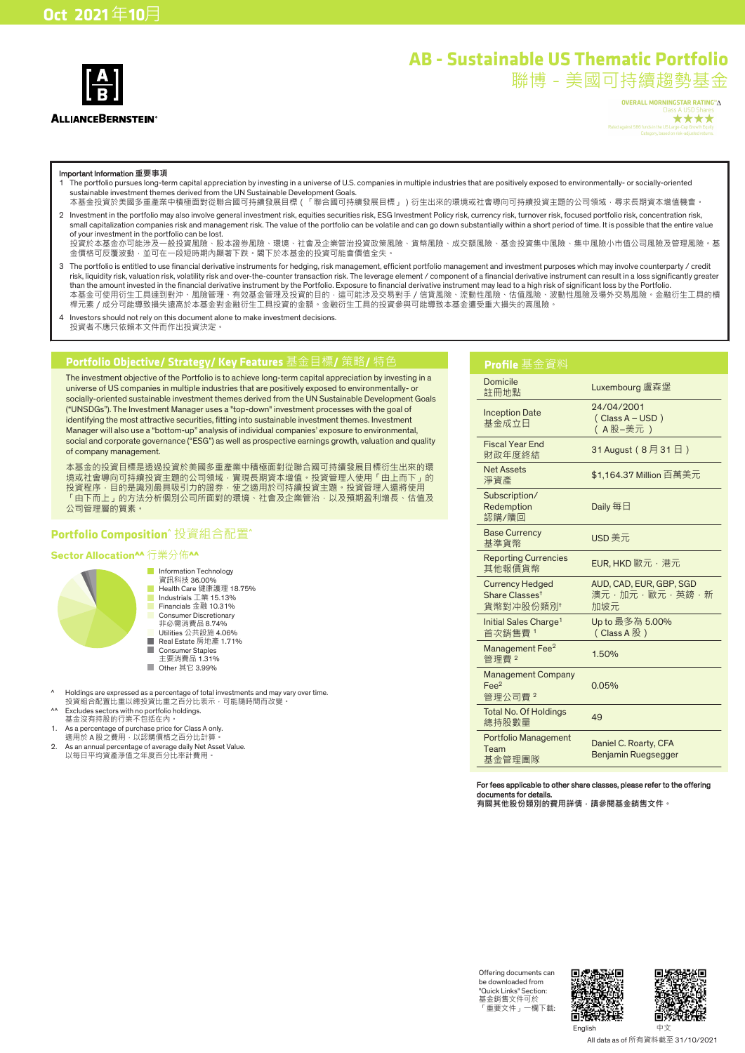

# **AB - Sustainable US Thematic Portfolio**

聯博-美國可持續趨勢基金

OVERALL MORNINGSTAR RATING™∆ \*\*\*\*

#### Important Information **重要事項**

- 1 The portfolio pursues long-term capital appreciation by investing in a universe of U.S. companies in multiple industries that are positively exposed to environmentally- or socially-oriented sustainable investment themes derived from the UN Sustainable Development Goals.
- 本基金投資於美國多重產業中積極面對從聯合國可持續發展目標(「聯合國可持續發展目標」)衍生出來的環境或社會導向可持續投資主題的公司領域,尋求長期資本增值機會。 2 Investment in the portfolio may also involve general investment risk, equities securities risk, ESG Investment Policy risk, currency risk, turnover risk, focused portfolio risk, concentration risk, small capitalization companies risk and management risk. The value of the portfolio can be volatile and can go down substantially within a short period of time. It is possible that the entire value

of your investment in the portfolio can be lost. 投資於本基金亦可能涉及一般投資風險、股本證券風險、環境、社會及企業管治投資政策風險、貨幣風險、成交額風險、基金投資集中風險、集中風險小市值公司風險及管理風險。基 金價格可反覆波動,並可在一段短時期內顯著下跌。閣下於本基金的投資可能會價值全失。

- 3 The portfolio is entitled to use financial derivative instruments for hedging, risk management, efficient portfolio management and investment purposes which may involve counterparty / credit risk, liquidity risk, valuation risk, volatility risk and over-the-counter transaction risk. The leverage element / component of a financial derivative instrument can result in a loss significantly greater than the amount invested in the financial derivative instrument by the Portfolio. Exposure to financial derivative instrument may lead to a high risk of significant loss by the Portfolio.<br>本基金可使用衍生工具達到對沖、風險管理、有效基金管理及投資的目的, 桿元素/成分可能導致損失遠高於本基金對金融衍生工具投資的金額。金融衍生工具的投資參與可能導致本基金遭受重大損失的高風險。
- 4 Investors should not rely on this document alone to make investment decisions. 投資者不應只依賴本文件而作出投資決定。

# **Portfolio Objective/ Strategy/ Key Features** 基金目標**/** 策略**/** 特色

The investment objective of the Portfolio is to achieve long-term capital appreciation by investing in a universe of US companies in multiple industries that are positively exposed to environmentally- or socially-oriented sustainable investment themes derived from the UN Sustainable Development Goals ("UNSDGs"). The Investment Manager uses a "top-down" investment processes with the goal of identifying the most attractive securities, fitting into sustainable investment themes. Investment Manager will also use a "bottom-up" analysis of individual companies' exposure to environmental, social and corporate governance ("ESG") as well as prospective earnings growth, valuation and quality of company management.

本基金的投資目標是透過投資於美國多重產業中積極面對從聯合國可持續發展目標衍生出來的環 境或社會導向可持續投資主題的公司領域,實現長期資本增值。投資管理人使用「由上而下」的 投資程序﹐目的是識別最具吸引力的證券﹐使之適用於可持續投資主題﹐投資管理人還將使用 「由下而上」的方法分析個別公司所面對的環境、社會及企業管治,以及預期盈利增長、估值及 公司管理層的質素。

### **Portfolio Composition^** 投資組合配置**^**

### **Sector Allocation^^** 行業分佈**^^**



- Health Care 健康護理 18.75% Industrials 工業 15.13% Financials 金融 10.31% Consumer Discretionary 非必需消費品 8.74% Utilities 公共設施 4.06%
- Real Estate 房地產 1.71% Consumer Staples
- 主要消費品 1.31%
- Other 其它 3.99%
- ^ Holdings are expressed as a percentage of total investments and may vary over time. 投資組合配置比重以總投資比重之百分比表示,可能隨時間而改變。
- ^^ Excludes sectors with no portfolio holdings. 基金沒有持股的行業不包括在內。
- 
- 1. As a percentage of purchase price for Class A only.<br>《適用於 A 股之費用‧以認購價格之百分比計算。
- 2. As an annual percentage of average daily Net Asset Value. 以每日平均資產淨值之年度百分比率計費用。

### **Profile** 基金資料

| Domicile<br>註冊地點                                                        | Luxembourg 盧森堡                                  |
|-------------------------------------------------------------------------|-------------------------------------------------|
| <b>Inception Date</b><br>基金成立日                                          | 24/04/2001<br>(Class A - USD)<br>(A股-美元 )       |
| <b>Fiscal Year End</b><br>財政年度終結                                        | 31 August (8月31日)                               |
| <b>Net Assets</b><br>淨資產                                                | \$1,164.37 Million 百萬美元                         |
| Subscription/<br>Redemption<br>認購/贖回                                    | Daily 每日                                        |
| <b>Base Currency</b><br>基準貨幣                                            | USD 美元                                          |
| <b>Reporting Currencies</b><br>其他報價貨幣                                   | EUR, HKD 歐元,港元                                  |
| <b>Currency Hedged</b><br>Share Classes <sup>t</sup><br><b>貨幣對冲股份類別</b> | AUD, CAD, EUR, GBP, SGD<br>澳元·加元·歐元·英鎊·新<br>加坡元 |
| Initial Sales Charge <sup>1</sup><br>首次銷售費1                             | Up to 最多為 5.00%<br>$(Class A   )$               |
| Management Fee <sup>2</sup><br>管理費 2                                    | 1.50%                                           |
| <b>Management Company</b><br>Fee <sup>2</sup><br>管理公司費2                 | 0.05%                                           |
| <b>Total No. Of Holdings</b><br>總持股數量                                   | 49                                              |
| <b>Portfolio Management</b><br>Team<br>基金管理團隊                           | Daniel C. Roarty, CFA<br>Benjamin Ruegsegger    |

#### For fees applicable to other share classes, please refer to the offering documents for details.

**有關其他股份類別的費用詳情,請參閱基金銷售文件。**

Offering documents can be downloaded from "Quick Links" Section: 基金銷售文件可於 「重要文件」一欄下載: